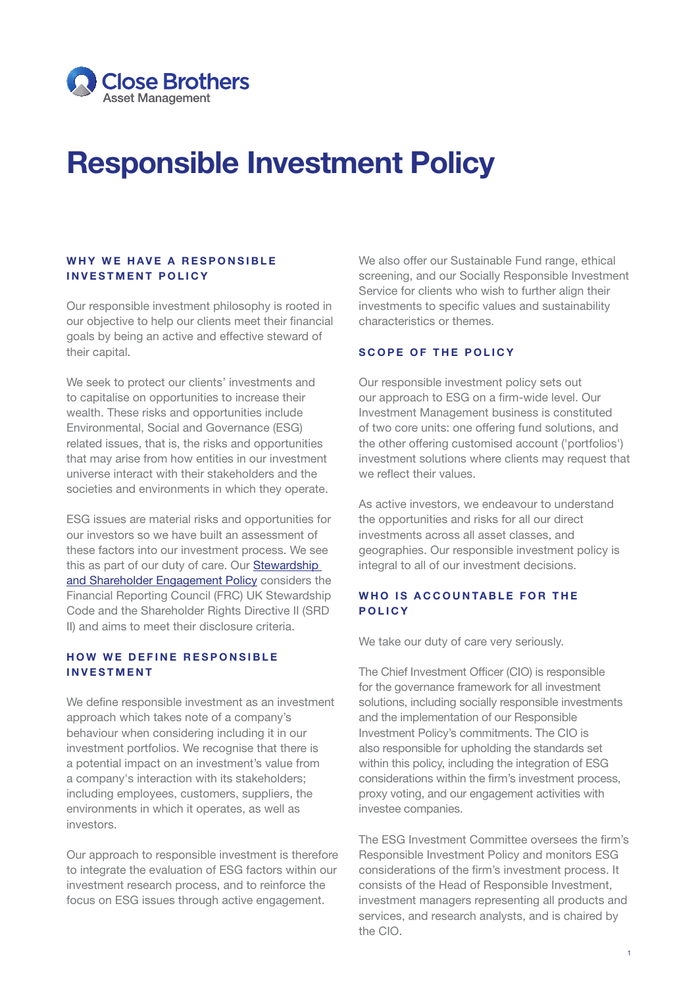

# Responsible Investment Policy

#### WHY WE HAVE A RESPONSIBLE INVESTMENT POLICY

Our responsible investment philosophy is rooted in our objective to help our clients meet their financial goals by being an active and effective steward of their capital.

We seek to protect our clients' investments and to capitalise on opportunities to increase their wealth. These risks and opportunities include Environmental, Social and Governance (ESG) related issues, that is, the risks and opportunities that may arise from how entities in our investment universe interact with their stakeholders and the societies and environments in which they operate.

ESG issues are material risks and opportunities for our investors so we have built an assessment of these factors into our investment process. We see this as part of our duty of care. Our [Stewardship](https://www.closebrothersam.com/legal-centre/policies/)  [and Shareholder Engagement Policy](https://www.closebrothersam.com/legal-centre/policies/) considers the Financial Reporting Council (FRC) UK Stewardship Code and the Shareholder Rights Directive II (SRD II) and aims to meet their disclosure criteria.

# HOW WE DEFINE RESPONSIBLE INVESTMENT

We define responsible investment as an investment approach which takes note of a company's behaviour when considering including it in our investment portfolios. We recognise that there is a potential impact on an investment's value from a company's interaction with its stakeholders; including employees, customers, suppliers, the environments in which it operates, as well as investors.

Our approach to responsible investment is therefore to integrate the evaluation of ESG factors within our investment research process, and to reinforce the focus on ESG issues through active engagement.

We also offer our Sustainable Fund range, ethical screening, and our Socially Responsible Investment Service for clients who wish to further align their investments to specific values and sustainability characteristics or themes.

#### SCOPE OF THE POLICY

Our responsible investment policy sets out our approach to ESG on a firm-wide level. Our Investment Management business is constituted of two core units: one offering fund solutions, and the other offering customised account ('portfolios') investment solutions where clients may request that we reflect their values.

As active investors, we endeavour to understand the opportunities and risks for all our direct investments across all asset classes, and geographies. Our responsible investment policy is integral to all of our investment decisions.

## WHO IS ACCOUNTABLE FOR THE **POLICY**

We take our duty of care very seriously.

The Chief Investment Officer (CIO) is responsible for the governance framework for all investment solutions, including socially responsible investments and the implementation of our Responsible Investment Policy's commitments. The CIO is also responsible for upholding the standards set within this policy, including the integration of ESG considerations within the firm's investment process, proxy voting, and our engagement activities with investee companies.

The ESG Investment Committee oversees the firm's Responsible Investment Policy and monitors ESG considerations of the firm's investment process. It consists of the Head of Responsible Investment, investment managers representing all products and services, and research analysts, and is chaired by the CIO.